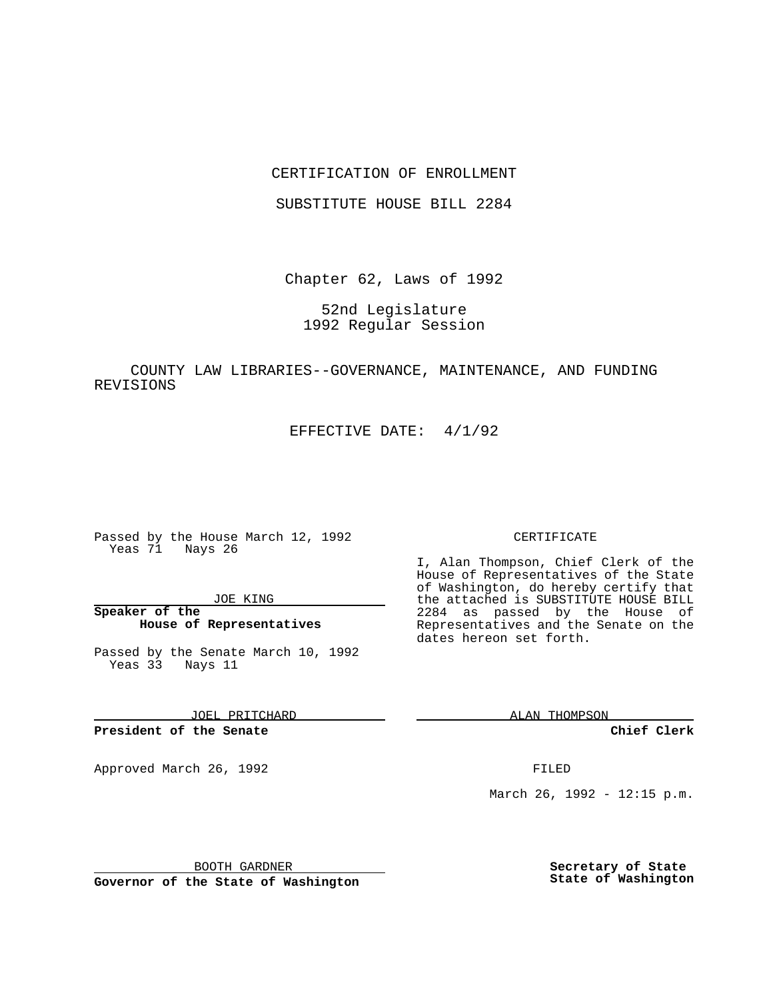## CERTIFICATION OF ENROLLMENT

SUBSTITUTE HOUSE BILL 2284

Chapter 62, Laws of 1992

52nd Legislature 1992 Regular Session

COUNTY LAW LIBRARIES--GOVERNANCE, MAINTENANCE, AND FUNDING REVISIONS

EFFECTIVE DATE: 4/1/92

Passed by the House March 12, 1992 Yeas 71 Nays 26

JOE KING

**Speaker of the House of Representatives**

Passed by the Senate March 10, 1992 Yeas 33 Nays 11

JOEL PRITCHARD

**President of the Senate**

Approved March 26, 1992 **FILED** 

### CERTIFICATE

I, Alan Thompson, Chief Clerk of the House of Representatives of the State of Washington, do hereby certify that the attached is SUBSTITUTE HOUSE BILL 2284 as passed by the House of Representatives and the Senate on the dates hereon set forth.

ALAN THOMPSON

**Chief Clerk**

March 26, 1992 - 12:15 p.m.

BOOTH GARDNER

**Governor of the State of Washington**

**Secretary of State State of Washington**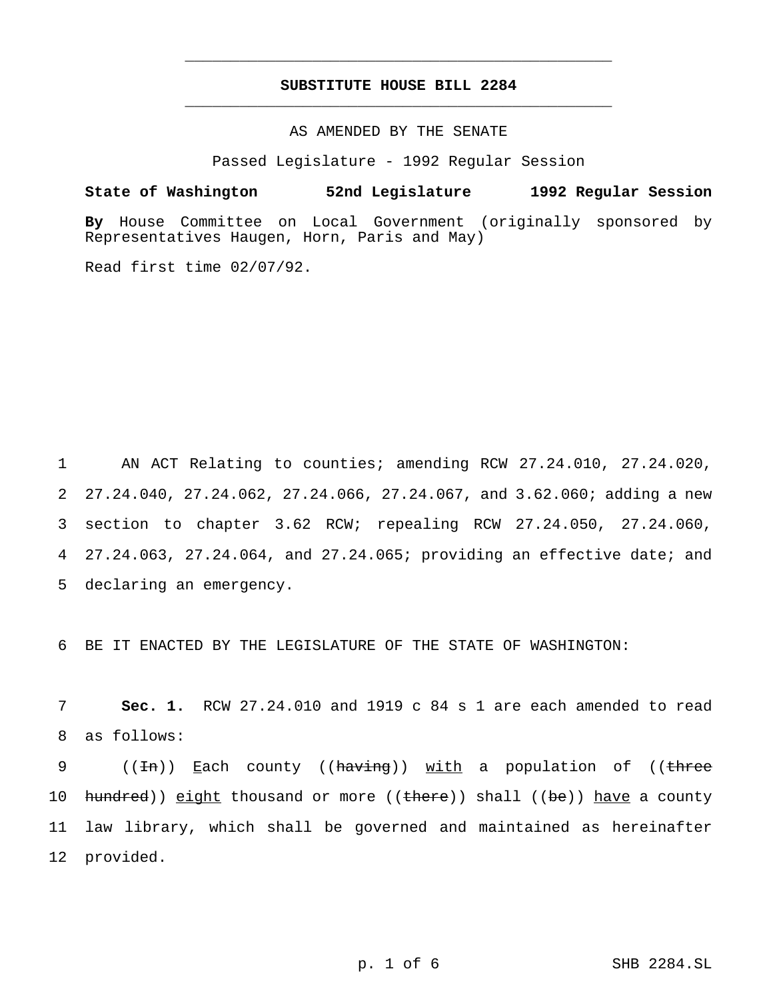# **SUBSTITUTE HOUSE BILL 2284** \_\_\_\_\_\_\_\_\_\_\_\_\_\_\_\_\_\_\_\_\_\_\_\_\_\_\_\_\_\_\_\_\_\_\_\_\_\_\_\_\_\_\_\_\_\_\_

\_\_\_\_\_\_\_\_\_\_\_\_\_\_\_\_\_\_\_\_\_\_\_\_\_\_\_\_\_\_\_\_\_\_\_\_\_\_\_\_\_\_\_\_\_\_\_

## AS AMENDED BY THE SENATE

Passed Legislature - 1992 Regular Session

#### **State of Washington 52nd Legislature 1992 Regular Session**

**By** House Committee on Local Government (originally sponsored by Representatives Haugen, Horn, Paris and May)

Read first time 02/07/92.

 AN ACT Relating to counties; amending RCW 27.24.010, 27.24.020, 27.24.040, 27.24.062, 27.24.066, 27.24.067, and 3.62.060; adding a new section to chapter 3.62 RCW; repealing RCW 27.24.050, 27.24.060, 27.24.063, 27.24.064, and 27.24.065; providing an effective date; and declaring an emergency.

6 BE IT ENACTED BY THE LEGISLATURE OF THE STATE OF WASHINGTON:

7 **Sec. 1.** RCW 27.24.010 and 1919 c 84 s 1 are each amended to read 8 as follows:

9 (( $\pm$ n)) Each county (( $h$ aving)) with a population of (( $\pm$ hree 10 hundred)) eight thousand or more ((there)) shall ((be)) have a county 11 law library, which shall be governed and maintained as hereinafter 12 provided.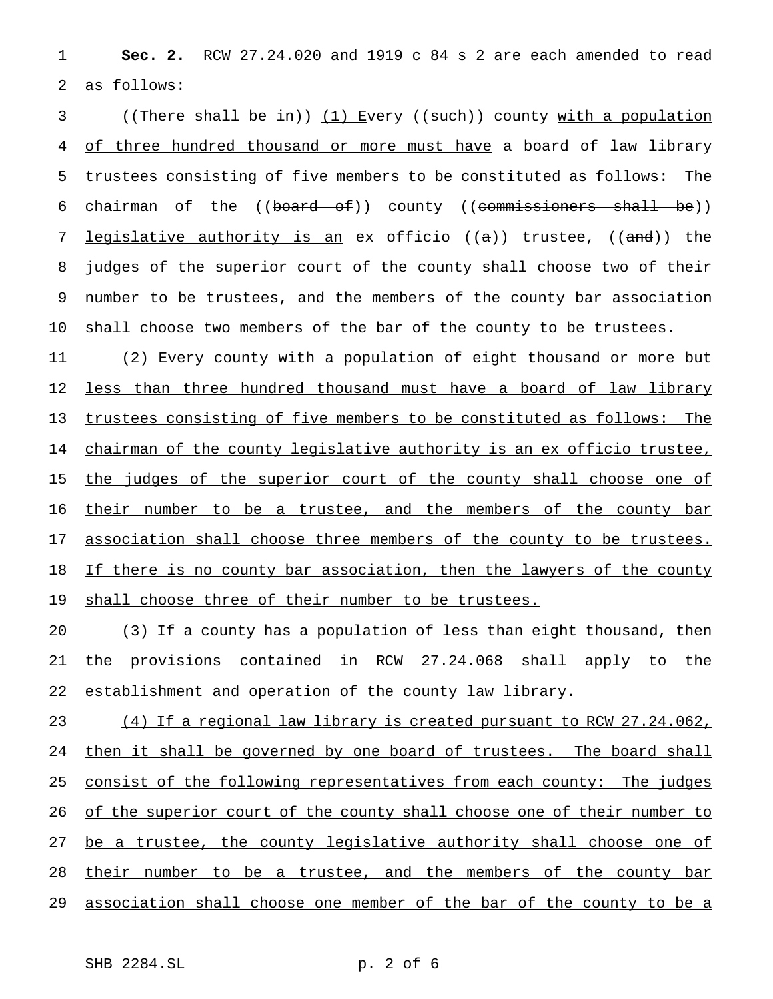1 **Sec. 2.** RCW 27.24.020 and 1919 c 84 s 2 are each amended to read 2 as follows:

3 ((There shall be in)) (1) Every ((such)) county with a population 4 of three hundred thousand or more must have a board of law library 5 trustees consisting of five members to be constituted as follows: The 6 chairman of the  $((*board* - of))$  county  $((*commissioners* -shall - be))$ 7 legislative authority is an ex officio  $((a))$  trustee,  $((and))$  the 8 judges of the superior court of the county shall choose two of their 9 number to be trustees, and the members of the county bar association 10 shall choose two members of the bar of the county to be trustees.

11 (2) Every county with a population of eight thousand or more but 12 <u>less than three hundred thousand must have a board of law library</u> 13 trustees consisting of five members to be constituted as follows: The 14 chairman of the county legislative authority is an ex officio trustee, 15 the judges of the superior court of the county shall choose one of 16 their number to be a trustee, and the members of the county bar 17 association shall choose three members of the county to be trustees. 18 If there is no county bar association, then the lawyers of the county 19 shall choose three of their number to be trustees.

20 (3) If a county has a population of less than eight thousand, then 21 the provisions contained in RCW 27.24.068 shall apply to the 22 establishment and operation of the county law library.

23 (4) If a regional law library is created pursuant to RCW 27.24.062, 24 then it shall be governed by one board of trustees. The board shall 25 consist of the following representatives from each county: The judges 26 of the superior court of the county shall choose one of their number to 27 be a trustee, the county legislative authority shall choose one of 28 their number to be a trustee, and the members of the county bar 29 association shall choose one member of the bar of the county to be a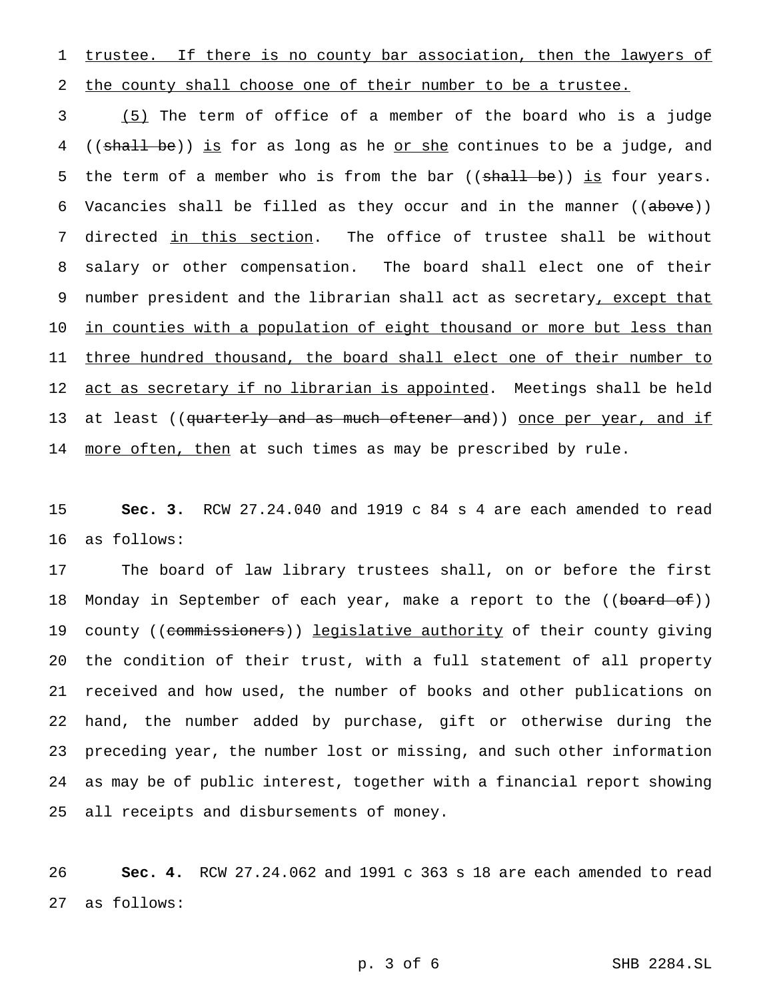1 trustee. If there is no county bar association, then the lawyers of 2 the county shall choose one of their number to be a trustee.

3 (5) The term of office of a member of the board who is a judge 4 ((shall be)) is for as long as he or she continues to be a judge, and 5 the term of a member who is from the bar ((shall be)) is four years. 6 Vacancies shall be filled as they occur and in the manner ((above)) 7 directed in this section. The office of trustee shall be without 8 salary or other compensation. The board shall elect one of their 9 number president and the librarian shall act as secretary, except that 10 in counties with a population of eight thousand or more but less than 11 three hundred thousand, the board shall elect one of their number to 12 act as secretary if no librarian is appointed. Meetings shall be held 13 at least ((<del>quarterly and as much oftener and</del>)) once per year, and if 14 more often, then at such times as may be prescribed by rule.

15 **Sec. 3.** RCW 27.24.040 and 1919 c 84 s 4 are each amended to read 16 as follows:

 The board of law library trustees shall, on or before the first 18 Monday in September of each year, make a report to the ((board of)) 19 county ((commissioners)) legislative authority of their county giving the condition of their trust, with a full statement of all property received and how used, the number of books and other publications on hand, the number added by purchase, gift or otherwise during the preceding year, the number lost or missing, and such other information as may be of public interest, together with a financial report showing all receipts and disbursements of money.

26 **Sec. 4.** RCW 27.24.062 and 1991 c 363 s 18 are each amended to read 27 as follows: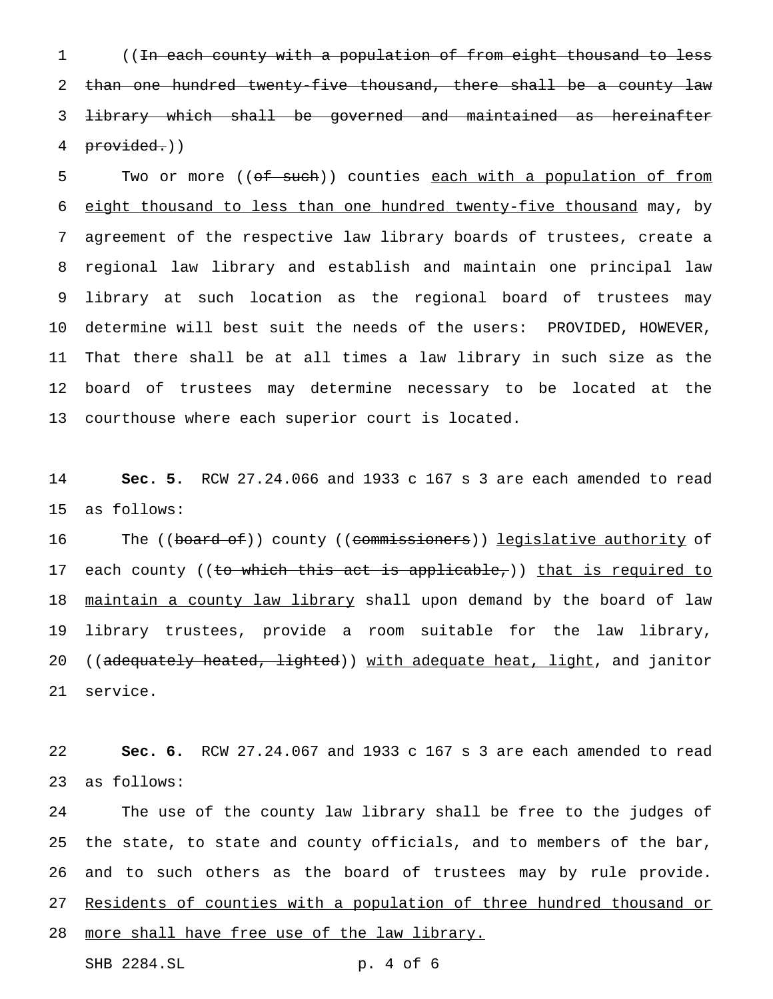((In each county with a population of from eight thousand to less 2 than one hundred twenty-five thousand, there shall be a county law library which shall be governed and maintained as hereinafter provided.))

5 Two or more ((of such)) counties each with a population of from eight thousand to less than one hundred twenty-five thousand may, by agreement of the respective law library boards of trustees, create a regional law library and establish and maintain one principal law library at such location as the regional board of trustees may determine will best suit the needs of the users: PROVIDED, HOWEVER, That there shall be at all times a law library in such size as the board of trustees may determine necessary to be located at the courthouse where each superior court is located.

 **Sec. 5.** RCW 27.24.066 and 1933 c 167 s 3 are each amended to read as follows:

16 The ((board of)) county ((commissioners)) legislative authority of 17 each county ((to which this act is applicable,)) that is required to 18 maintain a county law library shall upon demand by the board of law library trustees, provide a room suitable for the law library, 20 ((adequately heated, lighted)) with adequate heat, light, and janitor service.

 **Sec. 6.** RCW 27.24.067 and 1933 c 167 s 3 are each amended to read as follows:

 The use of the county law library shall be free to the judges of the state, to state and county officials, and to members of the bar, and to such others as the board of trustees may by rule provide. Residents of counties with a population of three hundred thousand or 28 more shall have free use of the law library.

```
SHB 2284.SL p. 4 of 6
```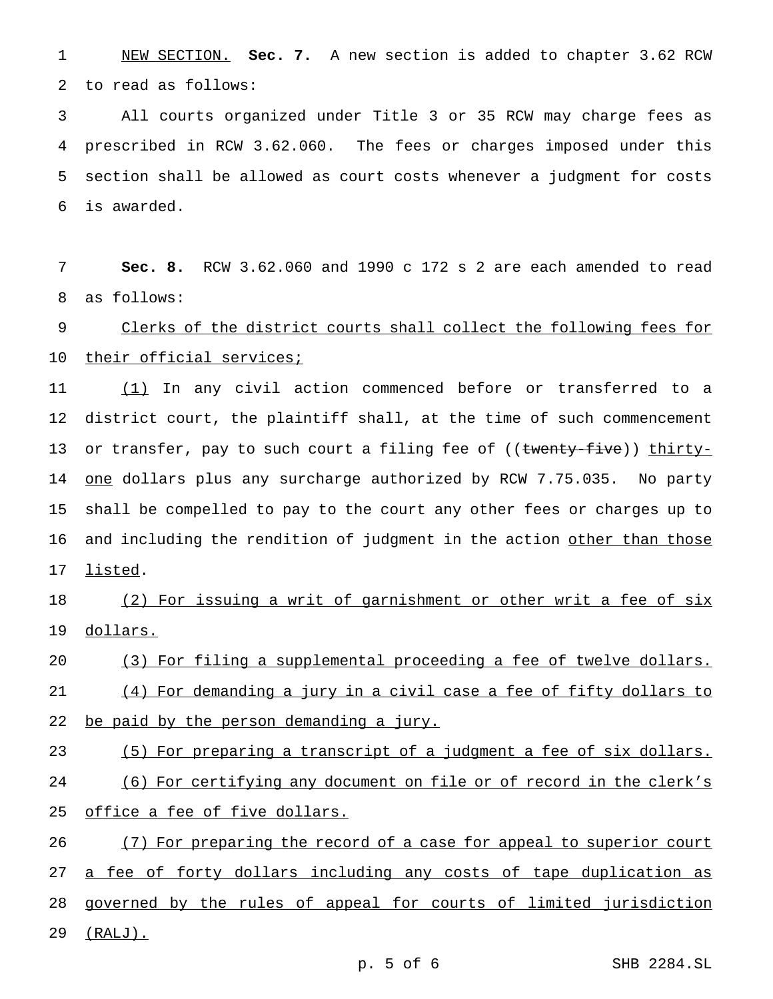1 NEW SECTION. **Sec. 7.** A new section is added to chapter 3.62 RCW 2 to read as follows:

 All courts organized under Title 3 or 35 RCW may charge fees as prescribed in RCW 3.62.060. The fees or charges imposed under this section shall be allowed as court costs whenever a judgment for costs is awarded.

7 **Sec. 8.** RCW 3.62.060 and 1990 c 172 s 2 are each amended to read 8 as follows:

9 Clerks of the district courts shall collect the following fees for 10 their official services;

11 (1) In any civil action commenced before or transferred to a 12 district court, the plaintiff shall, at the time of such commencement 13 or transfer, pay to such court a filing fee of ((<del>twenty-five</del>)) thirty-14 <u>one</u> dollars plus any surcharge authorized by RCW 7.75.035. No party 15 shall be compelled to pay to the court any other fees or charges up to 16 and including the rendition of judgment in the action other than those 17 listed.

18 (2) For issuing a writ of garnishment or other writ a fee of six 19 dollars.

20 (3) For filing a supplemental proceeding a fee of twelve dollars. 21 (4) For demanding a jury in a civil case a fee of fifty dollars to 22 be paid by the person demanding a jury.

23 (5) For preparing a transcript of a judgment a fee of six dollars. 24 (6) For certifying any document on file or of record in the clerk's 25 office a fee of five dollars.

26 (7) For preparing the record of a case for appeal to superior court 27 a fee of forty dollars including any costs of tape duplication as 28 governed by the rules of appeal for courts of limited jurisdiction 29 (RALJ).